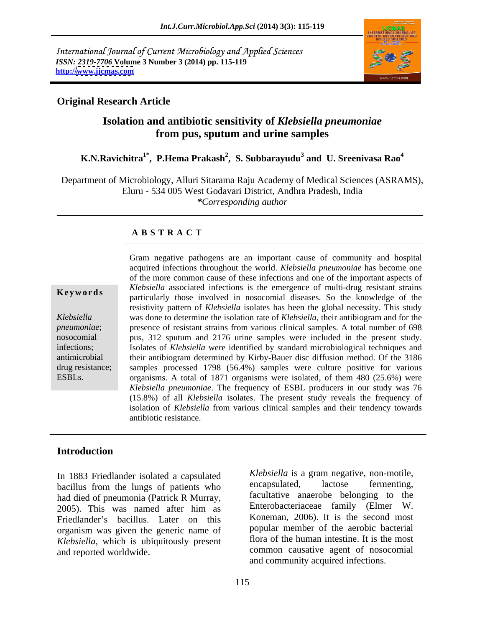International Journal of Current Microbiology and Applied Sciences *ISSN: 2319-7706* **Volume 3 Number 3 (2014) pp. 115-119 http:/[/www.ijcmas.com](http://www.ijcmas.com)**



### **Original Research Article**

# **Isolation and antibiotic sensitivity of** *Klebsiella pneumoniae* **from pus, sputum and urine samples**

### **K.N.Ravichitra1\* , P.Hema Prakash<sup>2</sup> , S. Subbarayudu<sup>3</sup> and U. Sreenivasa Rao<sup>4</sup>**

Department of Microbiology, Alluri Sitarama Raju Academy of Medical Sciences (ASRAMS), Eluru - 534 005 West Godavari District, Andhra Pradesh, India *\*Corresponding author* 

### **A B S T R A C T**

**Keywords Register Executed Register incredict Register Source in the contractions Register of the contractions particularly** those involved in nosocomial diseases. So the knowledge of the *Klebsiella*  was done to determine the isolation rate of *Klebsiella*, their antibiogram and for the *pneumoniae*; presence of resistant strains from various clinical samples. A total number of 698 nosocomial pus, 312 sputum and 2176 urine samples were included in the present study. infections; Isolates of *Klebsiella* were identified by standard microbiological techniques and antimicrobial their antibiogram determined by Kirby-Bauer disc diffusion method. Of the 3186 drug resistance; samples processed 1798 (56.4%) samples were culture positive for various ESBLs. organisms. A total of 1871 organisms were isolated, of them 480 (25.6%) were Gram negative pathogens are an important cause of community and hospital acquired infections throughout the world. *Klebsiella pneumoniae* has become one of the more common cause of these infections and one of the important aspects of *Klebsiella* associated infections is the emergence of multi-drug resistant strains resistivity pattern of *Klebsiella* isolates has been the global necessity. This study *Klebsiella pneumoniae*. The frequency of ESBL producers in our study was 76 (15.8%) of all *Klebsiella* isolates. The present study reveals the frequency of isolation of *Klebsiella* from various clinical samples and their tendency towards antibiotic resistance.

### **Introduction**

In 1883 Friedlander isolated a capsulated a capsulated a subsettle is a gram negative, non-motile, hacillus from the lungs of patients who encapsulated, lactose fermenting, bacillus from the lungs of patients who had died of pneumonia (Patrick R Murray, and tacultative anaerobe belonging to the 2005). This was named after him as Enterobacteriaceae family (Elmer W. Friedlander's bacillus. Later on this organism was given the generic name of *Klebsiella*, which is ubiquitously present

and reported worldwide. common causative agent of nosocomial *Klebsiella* is a gram negative, non-motile, encapsulated, lactose fermenting, facultative anaerobe belonging to the Enterobacteriaceae family (Elmer W. Koneman, 2006). It is the second most popular member of the aerobic bacterial flora of the human intestine. It is the most and community acquired infections.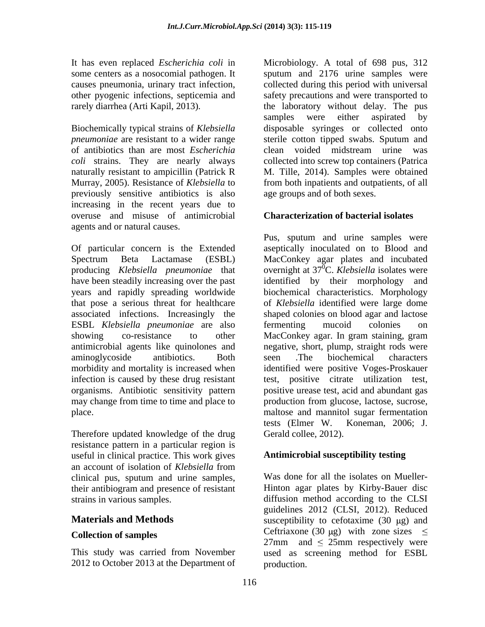of antibiotics than are most *Escherichia coli* strains. They are nearly always previously sensitive antibiotics is also increasing in the recent years due to overuse and misuse of antimicrobial agents and or natural causes.

that pose a serious threat for healthcare ESBL *Klebsiella pneumoniae* are also antimicrobial agents like quinolones and

Therefore updated knowledge of the drug resistance pattern in a particular region is useful in clinical practice. This work gives an account of isolation of *Klebsiella* from clinical pus, sputum and urine samples, their antibiogram and presence of resistant

2012 to October 2013 at the Department of

It has even replaced *Escherichia coli* in Microbiology.A total of 698 pus, 312 some centers as a nosocomial pathogen. It sputum and 2176 urine samples were causes pneumonia, urinary tract infection, collected during this period with universal other pyogenic infections, septicemia and safety precautions and were transported to rarely diarrhea (Arti Kapil, 2013). the laboratory without delay. The pus Biochemically typical strains of *Klebsiella*  disposable syringes or collected onto *pneumoniae* are resistant to a wider range sterile cotton tipped swabs. Sputum and naturally resistant to ampicillin (Patrick R M. Tille, 2014). Samples were obtained Murray, 2005). Resistance of *Klebsiella* to from both inpatients and outpatients, of all samples were either aspirated by clean voided midstream urine was collected into screw top containers (Patrica age groups and of both sexes.

# **Characterization of bacterial isolates**

Of particular concern is the Extended aseptically inoculated on to Blood and Spectrum Beta Lactamase (ESBL) MacConkey agar plates and incubated producing *Klebsiella pneumoniae* that overnight at 37 0C. *Klebsiella* isolates were have been steadily increasing over the past identified by their morphology and years and rapidly spreading worldwide biochemical characteristics. Morphology associated infections. Increasingly the shaped colonies on blood agar and lactose showing co-resistance to other MacConkey agar. In gram staining, gram aminoglycoside antibiotics. Both morbidity and mortality is increased when identified were positive Voges-Proskauer infection is caused by these drug resistant test, positive citrate utilization test, organisms. Antibiotic sensitivity pattern positive urease test, acid and abundant gas may change from time to time and place to production from glucose, lactose, sucrose, place. maltose and mannitol sugar fermentation Pus, sputum and urine samples were of *Klebsiella* identified were large dome fermenting mucoid colonies on negative, short, plump, straight rods were seen .The biochemical characters tests (Elmer W. Koneman, 2006; J. Gerald collee, 2012).

# **Antimicrobial susceptibility testing**

strains in various samples. diffusion method according to the CLSI **Materials and Methods** susceptibility to cefotaxime (30 µg) and **Collection of samples** Ceftriaxone (30  $\mu$ g) with zone sizes  $\leq$ This study was carried from November used as screening method for ESBL Was done for all the isolates on Mueller- Hinton agar plates by Kirby-Bauer disc guidelines 2012 (CLSI, 2012). Reduced  $27 \text{mm}$  and  $\leq 25 \text{mm}$  respectively were production.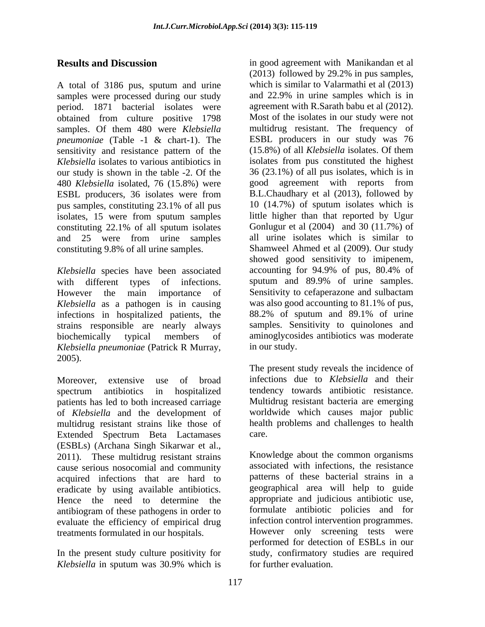A total of 3186 pus, sputum and urine which is similar to Valarmathi et al (2013) samples were processed during our study period. 1871 bacterial isolates were obtained from culture positive 1798 samples. Of them 480 were *Klebsiella pneumoniae* (Table -1 & chart-1). The ESBL producers in our study was 76 sensitivity and resistance pattern of the (15.8%) of all *Klebsiella* isolates. Of them sensitivity and resistance pattern of the *Klebsiella* isolates to various antibiotics in isolates from pus constituted the highest our study is shown in the table -2. Of the 36 (23.1%) of all pus isolates, which is in 480 *Klebsiella* isolated, 76 (15.8%) were good agreement with reports from ESBL producers, 36 isolates were from B.L.Chaudhary et al (2013), followed by pus samples, constituting 23.1% of all pus  $10(14.7%)$  of sputum isolates which is isolates, 15 were from sputum samples constituting 22.1% of all sputum isolates Gonlugur et al (2004) and 30 (11.7%) of and 25 were from urine samples all urine isolates which is similar to constituting 9.8% of all urine samples.

*Klebsiella* species have been associated accounting for 94.9% of pus, 80.4% of with different types of infections. Sputum and 89.9% of urine samples. with different types of infections. sputum and 89.9% of urine samples. However the main importance of Sensitivity to cefaperazone and sulbactam *Klebsiella* as a pathogen is in causing was also good accounting to 81.1% of pus, infections in hospitalized patients, the 88.2% of sputum and 89.1% of urine infections in hospitalized patients, the strains responsible are nearly always biochemically typical members of aminoglycosides antibiotics was moderate *Klebsiella pneumoniae* (Patrick <sup>R</sup> Murray, 2005).

Moreover, extensive use of broad infections due to *Klebsiella* and their spectrum antibiotics in hospitalized patients has led to both increased carriage of *Klebsiella* and the development of multidrug resistant strains like those of Extended Spectrum Beta Lactamases (ESBLs) (Archana Singh Sikarwar et al., 2011). These multidrug resistant strains cause serious nosocomial and community acquired infections that are hard to eradicate by using available antibiotics. Hence the need to determine the antibiogram of these pathogens in order to evaluate the efficiency of empirical drug treatments formulated in our hospitals.

*Klebsiella* in sputum was 30.9% which is

**Results and Discussion** in good agreement with Manikandan et al (2013) followed by 29.2% in pus samples, which is similar to Valarmathi et al (2013) and 22.9% in urine samples which is in agreement with R.Sarath babu et al (2012). Most of the isolates in our study were not multidrug resistant. The frequency of ESBL producers in our study was 76 (15.8%) of all *Klebsiella* isolates. Of them B.L.Chaudhary et al (2013), followed by 10 (14.7%) of sputum isolates which is little higher than that reported by Ugur Gonlugur et al (2004) and 30 (11.7%) of all urine isolates which is similar to Shamweel Ahmed et al (2009). Our study showed good sensitivity to imipenem, accounting for 94.9% of pus, 80.4% of Sensitivity to cefaperazone and sulbactam was also good accounting to 81.1% of pus, 88.2% of sputum and 89.1% of urine samples. Sensitivity to quinolones and in our study.

> The present study reveals the incidence of tendency towards antibiotic resistance. Multidrug resistant bacteria are emerging worldwide which causes major public health problems and challenges to health care.

In the present study culture positivity for study, confirmatory studies are required Knowledge about the common organisms associated with infections, the resistance patterns of these bacterial strains in a geographical area will help to guide appropriate and judicious antibiotic use, formulate antibiotic policies and for infection control intervention programmes. However only screening tests were performed for detection of ESBLs in our for further evaluation.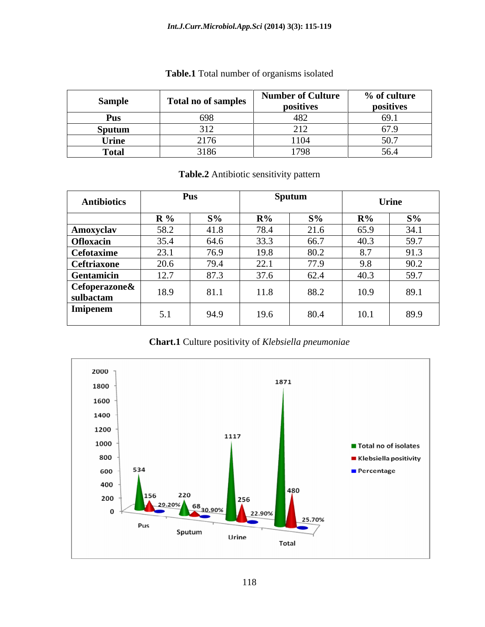| Sample       | <b>Total no of samples</b>           | <b>Number of Culture</b><br>positives                | $\%$ of culture<br>positives |
|--------------|--------------------------------------|------------------------------------------------------|------------------------------|
| <b>A</b> UD  | $\sim$ $\sim$                        |                                                      | 601                          |
| Sputum       |                                      | $\sim$ 1 $\sim$                                      | $\sim$<br>,,,,               |
| Urine        | $\frac{1}{2}$<br>$\sim$ 1 $\prime$ 0 | $\overline{A}$ $\overline{A}$ $\overline{A}$<br>⊥⊥∪¬ | 507<br>J v.,                 |
| <b>Total</b> | 3186                                 | 1798                                                 | 56<br><u>-</u><br>-          |

## **Table.1** Total number of organisms isolated

**Table.2** Antibiotic sensitivity pattern

| <b>Antibiotics</b>                                                                                                                   |                |       | Sputum |       |       | $I$ <sub>rine</sub> |
|--------------------------------------------------------------------------------------------------------------------------------------|----------------|-------|--------|-------|-------|---------------------|
|                                                                                                                                      | $\mathbf{R}$ % | $S\%$ | $R\%$  | $S\%$ | $R\%$ | $S\%$               |
|                                                                                                                                      |                | 41.8  | /8.4   | 21.6  | 65.9  | 34.1                |
|                                                                                                                                      |                | 64.6  | 33.3 L | 66.7  | 40.3  | $\overline{59.7}$   |
|                                                                                                                                      | 23.1           | 76.9  | 19.8   | 80.2  | 8.7   | 91.3                |
|                                                                                                                                      | 20.6           | 79.4  | 22.1   | 77.9  | 9.8   | 90.2                |
|                                                                                                                                      | 12.1           |       |        | 62.4  | 40.3  | 59.7                |
| <b>Amoxyclav<br/> Ofloxacin<br/> Cefotaxime<br/> Ceftriaxone<br/> Gentamicin<br/> Cefoperazone&amp;<br/> sulbactam<br/> Luingang</b> |                | 81.1  | 11.8   | 88.2  | 10.9  | 89.1                |
| <b>Imipenem</b>                                                                                                                      |                | 94.9  | 19.6   | 80.4  | 10.1  | 89.9                |

**Chart.1** Culture positivity of *Klebsiella pneumoniae*